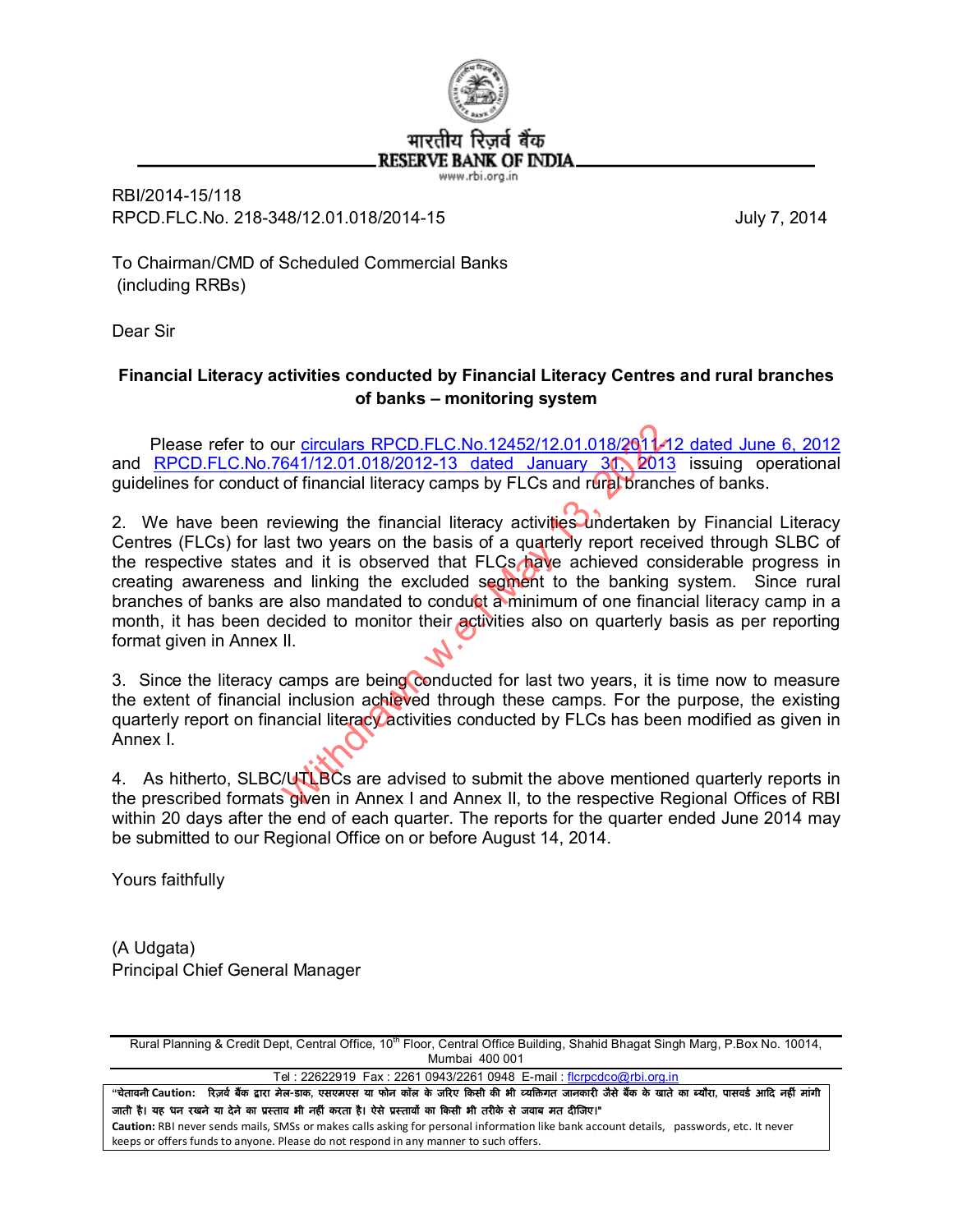

www.rbi.org.in

RBI/2014-15/118 RPCD.FLC.No. 218-348/12.01.018/2014-15 July 7, 2014

To Chairman/CMD of Scheduled Commercial Banks (including RRBs)

Dear Sir

## **Financial Literacy activities conducted by Financial Literacy Centres and rural branches of banks – monitoring system**

Please refer to our [circulars RPCD.FLC.No.12452/12.01.018/2011-12 dated June 6, 2012](http://rbi.org.in/scripts/NotificationUser.aspx?Id=7259&Mode=0) and [RPCD.FLC.No.7641/12.01.018/2012-13 dated January 31, 2013](http://rbi.org.in/scripts/NotificationUser.aspx?Id=7844&Mode=0) issuing operational guidelines for conduct of financial literacy camps by FLCs and rural branches of banks.

2. We have been reviewing the financial literacy activities undertaken by Financial Literacy Centres (FLCs) for last two years on the basis of a quarterly report received through SLBC of the respective states and it is observed that FLCs have achieved considerable progress in creating awareness and linking the excluded segment to the banking system. Since rural branches of banks are also mandated to conduct a minimum of one financial literacy camp in a month, it has been decided to monitor their activities also on quarterly basis as per reporting format given in Annex II. ur circulars RPCD.FLC.No.12452/12.01.018/2012<br>641/12.01.018/2012-13 dated January 30, 2011<br>of financial literacy camps by FLCs and rural branc<br>wiewing the financial literacy activities undertaken<br>st two years on the basis

3. Since the literacy camps are being conducted for last two years, it is time now to measure the extent of financial inclusion achieved through these camps. For the purpose, the existing quarterly report on financial literacy activities conducted by FLCs has been modified as given in Annex I.

4. As hitherto, SLBC/UTLBCs are advised to submit the above mentioned quarterly reports in the prescribed formats given in Annex I and Annex II, to the respective Regional Offices of RBI within 20 days after the end of each quarter. The reports for the quarter ended June 2014 may be submitted to our Regional Office on or before August 14, 2014.

Yours faithfully

(A Udgata) Principal Chief General Manager

Rural Planning & Credit Dept, Central Office, 10<sup>th</sup> Floor, Central Office Building, Shahid Bhagat Singh Marg, P.Box No. 10014, Mumbai 400 001

Tel: 22622919 Fax: 2261 0943/2261 0948 E-mail: [flcrpcdco@rbi.org.in](mailto:flcrpcdco:@rbi.org.in)

"चेतावनी Caution: रिज़र्व बैंक द्वारा मेल-डाक, एसएमएस या फोन कॉल के जरिए किसी की भी व्यक्तिगत जानकारी जैसे बैंक के खाते का ब्यौरा, पासवर्ड आदि नहीं मांगी जाती है। यह धन रखने या देने का प्रस्ताव भी नहीं करता है। ऐसे प्रस्तावों का किसी भी तरीके से जवाब मत दीजिए।" **Caution:** RBI never sends mails, SMSs or makes calls asking for personal information like bank account details, passwords, etc. It never

keeps or offers funds to anyone. Please do not respond in any manner to such offers.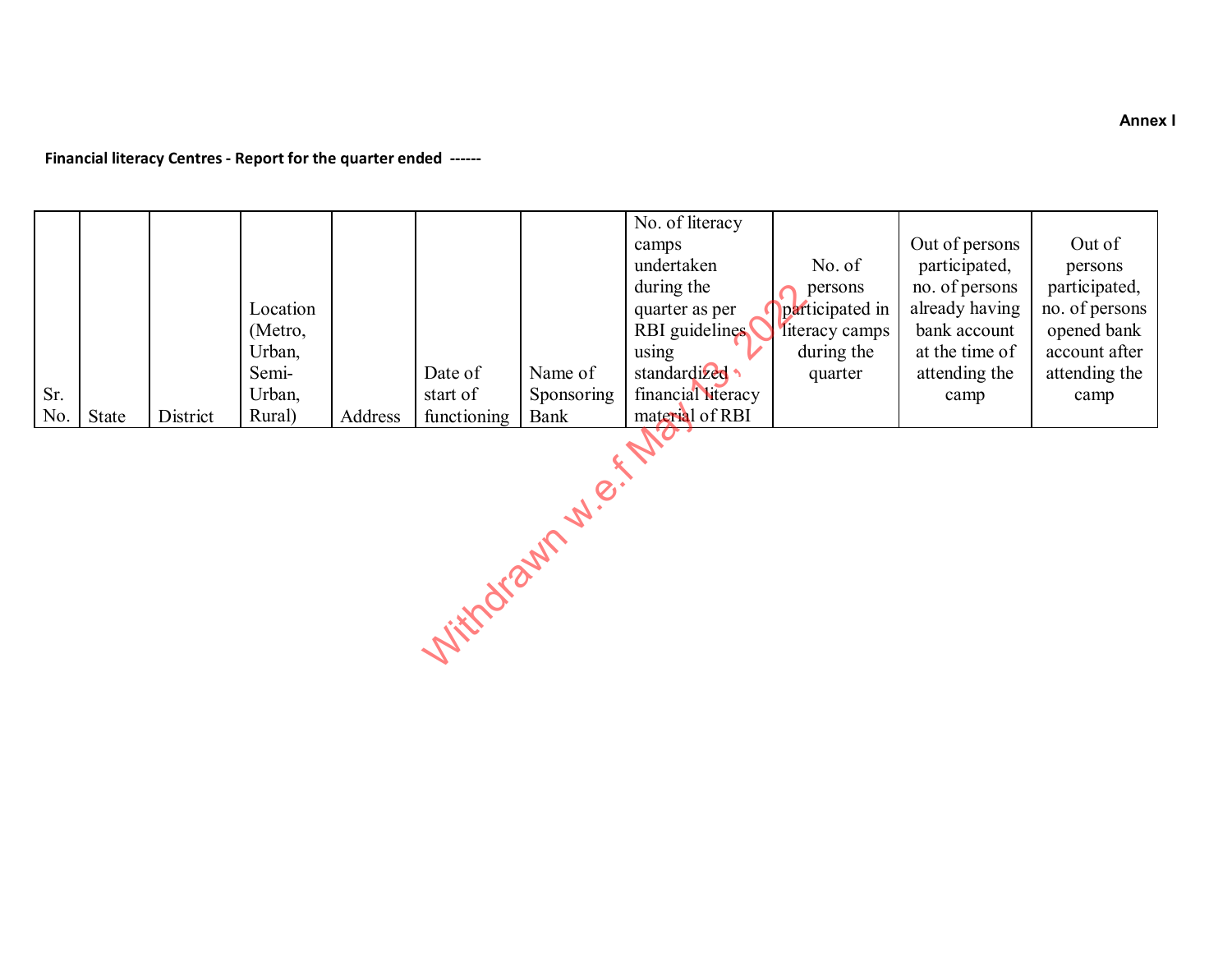**Financial literacy Centres - Report for the quarter ended ------**

| Sr.            |       |          | Location<br>(Metro,<br>Urban,<br>Semi-<br>Urban, |         | Date of<br>start of | Name of<br>Sponsoring | No. of literacy<br>camps<br>undertaken<br>during the<br>quarter as per<br>RBI guidelines<br>using<br>standardized<br>financial literacy | No. of<br>persons<br>participated in<br>literacy camps<br>during the<br>quarter | Out of persons<br>participated,<br>no. of persons<br>already having<br>bank account<br>at the time of<br>attending the<br>camp | Out of<br>persons<br>participated,<br>no. of persons<br>opened bank<br>account after<br>attending the<br>camp |
|----------------|-------|----------|--------------------------------------------------|---------|---------------------|-----------------------|-----------------------------------------------------------------------------------------------------------------------------------------|---------------------------------------------------------------------------------|--------------------------------------------------------------------------------------------------------------------------------|---------------------------------------------------------------------------------------------------------------|
| No.            | State | District | Rural)                                           | Address | functioning         | Bank                  | material of RBI                                                                                                                         |                                                                                 |                                                                                                                                |                                                                                                               |
| Juindrann J.e. |       |          |                                                  |         |                     |                       |                                                                                                                                         |                                                                                 |                                                                                                                                |                                                                                                               |